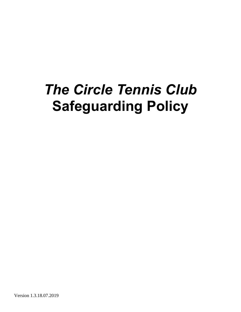# *The Circle Tennis Club* **Safeguarding Policy**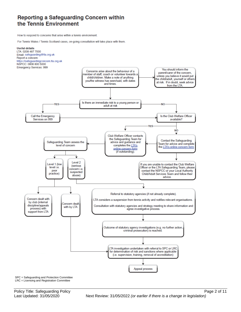### Reporting a Safeguarding Concern within the Tennis Environment

How to respond to concerns that arise within a tennis environment.

For Tennis Wales / Tennis Scotland cases, on-going consultation will take place with them.



SPC = Safeguarding and Protection Committee LRC = Licensing and Registration Committee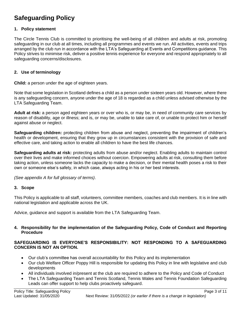## **Safeguarding Policy**

#### **1. Policy statement**

The Circle Tennis Club is committed to prioritising the well-being of all children and adults at risk, promoting safeguarding in our club at all times, including all programmes and events we run. All activities, events and trips arranged by the club run in accordance with the LTA's Safeguarding at Events and Competitions guidance. This Policy strives to minimise risk, deliver a positive tennis experience for everyone and respond appropriately to all safeguarding concerns/disclosures.

#### **2. Use of terminology**

**Child:** a person under the age of eighteen years.

Note that some legislation in Scotland defines a child as a person under sixteen years old. However, where there is any safeguarding concern, anyone under the age of 18 is regarded as a child unless advised otherwise by the LTA Safeguarding Team.

**Adult at risk:** a person aged eighteen years or over who is, or may be, in need of community care services by reason of disability, age or illness; and is, or may be, unable to take care of, or unable to protect him or herself against abuse or neglect.

**Safeguarding children:** protecting children from abuse and neglect, preventing the impairment of children's health or development, ensuring that they grow up in circumstances consistent with the provision of safe and effective care, and taking action to enable all children to have the best life chances.

**Safeguarding adults at risk:** protecting adults from abuse and/or neglect. Enabling adults to maintain control over their lives and make informed choices without coercion. Empowering adults at risk, consulting them before taking action, unless someone lacks the capacity to make a decision, or their mental health poses a risk to their own or someone else's safety, in which case, always acting in his or her best interests.

*(See appendix A for full glossary of terms)*.

#### **3. Scope**

This Policy is applicable to all staff, volunteers, committee members, coaches and club members. It is in line with national legislation and applicable across the UK.

Advice, guidance and support is available from the LTA Safeguarding Team.

#### **4. Responsibility for the implementation of the Safeguarding Policy, Code of Conduct and Reporting Procedure**

#### **SAFEGUARDING IS EVERYONE'S RESPONSIBILITY: NOT RESPONDING TO A SAFEGUARDING CONCERN IS NOT AN OPTION.**

- Our club's committee has overall accountability for this Policy and its implementation
- Our club Welfare Officer Poppy Hill is responsible for updating this Policy in line with legislative and club developments
- All individuals involved in/present at the club are required to adhere to the Policy and Code of Conduct
- The LTA Safeguarding Team and Tennis Scotland, Tennis Wales and Tennis Foundation Safeguarding Leads can offer support to help clubs proactively safeguard.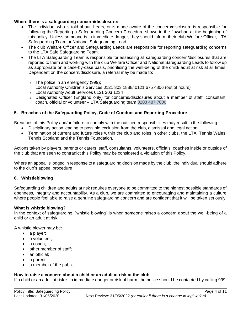#### **Where there is a safeguarding concern/disclosure:**

- The individual who is told about, hears, or is made aware of the concern/disclosure is responsible for following the Reporting a Safeguarding Concern Procedure shown in the flowchart at the beginning of this policy. Unless someone is in immediate danger, they should inform their club Welfare Officer, LTA Safeguarding Team or National Safeguarding Lead.
- The club Welfare Officer and Safeguarding Leads are responsible for reporting safeguarding concerns to the LTA Safe Safeguarding Team.
- The LTA Safeguarding Team is responsible for assessing all safeguarding concern/disclosures that are reported to them and working with the club Welfare Officer and National Safeguarding Leads to follow up as appropriate on a case-by-case basis, prioritising the well-being of the child/ adult at risk at all times. Dependent on the concern/disclosure, a referral may be made to:
	- o The police in an emergency (999); Local Authority Children's Services 0121 303 1888/ 0121 675 4806 (out of hours)
	- o Local Authority Adult Services 0121 303 1234
	- o Designated Officer (England only) for concerns/disclosures about a member of staff, consultant, coach, official or volunteer – LTA Safeguarding team 0208 487 7000

#### **5. Breaches of the Safeguarding Policy, Code of Conduct and Reporting Procedure**

Breaches of this Policy and/or failure to comply with the outlined responsibilities may result in the following:

- Disciplinary action leading to possible exclusion from the club, dismissal and legal action
- Termination of current and future roles within the club and roles in other clubs, the LTA, Tennis Wales, Tennis Scotland and the Tennis Foundation*.*

Actions taken by players, parents or carers, staff, consultants, volunteers, officials, coaches inside or outside of the club that are seen to contradict this Policy may be considered a violation of this Policy.

Where an appeal is lodged in response to a safeguarding decision made by the club, the individual should adhere to the club's appeal procedure

#### **6. Whistleblowing**

Safeguarding children and adults at risk requires everyone to be committed to the highest possible standards of openness, integrity and accountability. As a club, we are committed to encouraging and maintaining a culture where people feel able to raise a genuine safeguarding concern and are confident that it will be taken seriously.

#### **What is whistle blowing?**

In the context of safeguarding, "whistle blowing" is when someone raises a concern about the well-being of a child or an adult at risk.

A whistle blower may be:

- a player;
- a volunteer:
- a coach:
- other member of staff;
- an official:
- a parent;
- a member of the public.

#### **How to raise a concern about a child or an adult at risk at the club**

If a child or an adult at risk is in immediate danger or risk of harm, the police should be contacted by calling 999.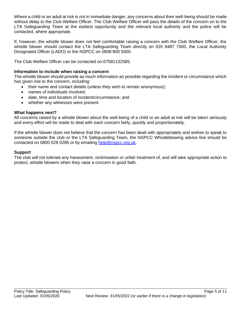Where a child or an adult at risk is not in immediate danger, any concerns about their well-being should be made without delay to the Club Welfare Officer. The Club Welfare Officer will pass the details of the concern on to the LTA Safeguarding Team at the earliest opportunity and the relevant local authority and the police will be contacted, where appropriate.

If, however, the whistle blower does not feel comfortable raising a concern with the Club Welfare Officer, the whistle blower should contact the LTA Safeguarding Team directly on 020 8487 7000, the Local Authority Designated Officer (LADO) or the NSPCC on 0808 800 5000.

The Club Welfare Officer can be contacted on:07581132585*.*

#### **Information to include when raising a concern**

The whistle blower should provide as much information as possible regarding the incident or circumstance which has given rise to the concern, including:

- their name and contact details (unless they wish to remain anonymous);
- names of individuals involved;
- date, time and location of incident/circumstance; and
- whether any witnesses were present.

#### **What happens next?**

All concerns raised by a whistle blower about the well-being of a child or an adult at risk will be taken seriously and every effort will be made to deal with each concern fairly, quickly and proportionately.

If the whistle blower does not believe that the concern has been dealt with appropriately and wishes to speak to someone outside the club or the LTA Safeguarding Team, the NSPCC Whistleblowing advice line should be contacted on 0800 028 0285 or by emailing [help@nspcc.org.uk.](mailto:help@nspcc.org.uk)

#### **Support**

The club will not tolerate any harassment, victimisation or unfair treatment of, and will take appropriate action to protect, whistle blowers when they raise a concern in good faith.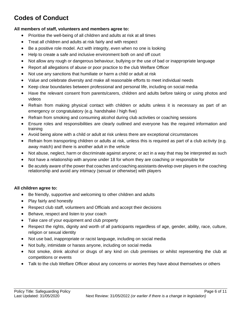# **Codes of Conduct**

#### **All members of staff, volunteers and members agree to:**

- Prioritise the well-being of all children and adults at risk at all times
- Treat all children and adults at risk fairly and with respect
- Be a positive role model. Act with integrity, even when no one is looking
- Help to create a safe and inclusive environment both on and off court
- Not allow any rough or dangerous behaviour, bullying or the use of bad or inappropriate language
- Report all allegations of abuse or poor practice to the club Welfare Officer
- Not use any sanctions that humiliate or harm a child or adult at risk
- Value and celebrate diversity and make all reasonable efforts to meet individual needs
- Keep clear boundaries between professional and personal life, including on social media
- Have the relevant consent from parents/carers, children and adults before taking or using photos and videos
- Refrain from making physical contact with children or adults unless it is necessary as part of an emergency or congratulatory (e.g. handshake / high five)
- Refrain from smoking and consuming alcohol during club activities or coaching sessions
- Ensure roles and responsibilities are clearly outlined and everyone has the required information and training
- Avoid being alone with a child or adult at risk unless there are exceptional circumstances
- Refrain from transporting children or adults at risk, unless this is required as part of a club activity (e.g. away match) and there is another adult in the vehicle
- Not abuse, neglect, harm or discriminate against anyone; or act in a way that may be interpreted as such
- Not have a relationship with anyone under 18 for whom they are coaching or responsible for
- Be acutely aware of the power that coaches and coaching assistants develop over players in the coaching relationship and avoid any intimacy (sexual or otherwise) with players

#### **All children agree to:**

- Be friendly, supportive and welcoming to other children and adults
- Play fairly and honestly
- Respect club staff, volunteers and Officials and accept their decisions
- Behave, respect and listen to your coach
- Take care of your equipment and club property
- Respect the rights, dignity and worth of all participants regardless of age, gender, ability, race, culture, religion or sexual identity
- Not use bad, inappropriate or racist language, including on social media
- Not bully, intimidate or harass anyone, including on social media
- Not smoke, drink alcohol or drugs of any kind on club premises or whilst representing the club at competitions or events
- Talk to the club Welfare Officer about any concerns or worries they have about themselves or others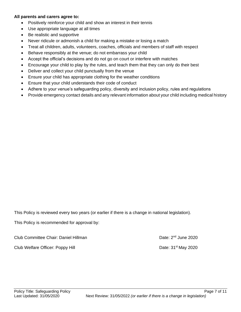#### **All parents and carers agree to:**

- Positively reinforce your child and show an interest in their tennis
- Use appropriate language at all times
- Be realistic and supportive
- Never ridicule or admonish a child for making a mistake or losing a match
- Treat all children, adults, volunteers, coaches, officials and members of staff with respect
- Behave responsibly at the venue; do not embarrass your child
- Accept the official's decisions and do not go on court or interfere with matches
- Encourage your child to play by the rules, and teach them that they can only do their best
- Deliver and collect your child punctually from the venue
- Ensure your child has appropriate clothing for the weather conditions
- Ensure that your child understands their code of conduct
- Adhere to your venue's safeguarding policy, diversity and inclusion policy, rules and regulations
- Provide emergency contact details and any relevant information about your child including medical history

This Policy is reviewed every two years (or earlier if there is a change in national legislation).

This Policy is recommended for approval by:

Club Committee Chair: Daniel Hillman Date:  $2<sup>nd</sup>$  June 2020 Club Welfare Officer: Poppy Hill Date: 31<sup>st</sup> May 2020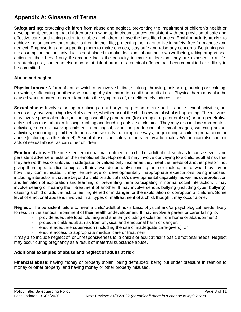## **Appendix A: Glossary of Terms**

**Safeguarding:** protecting **children** from abuse and neglect, preventing the impairment of children's health or development, ensuring that children are growing up in circumstances consistent with the provision of safe and effective care, and taking action to enable all children to have the best life chances. Enabling **adults at risk** to achieve the outcomes that matter to them in their life; protecting their right to live in safety, free from abuse and neglect. Empowering and supporting them to make choices, stay safe and raise any concerns. Beginning with the assumption that an individual is best-placed to make decisions about their own wellbeing, taking proportional action on their behalf only if someone lacks the capacity to make a decision, they are exposed to a lifethreatening risk, someone else may be at risk of harm, or a criminal offence has been committed or is likely to be committed.

#### **Abuse and neglect**

**Physical abuse:** A form of abuse which may involve hitting, shaking, throwing, poisoning, burning or scalding, drowning, suffocating or otherwise causing physical harm to a child or adult at risk. Physical harm may also be caused when a parent or carer fabricates the symptoms of, or deliberately induces illness

**Sexual abuse:** Involves forcing or enticing a child or young person to take part in abuse sexual activities, not necessarily involving a high level of violence, whether or not the child is aware of what is happening. The activities may involve physical contact, including assault by penetration (for example, rape or oral sex) or non-penetrative acts such as masturbation, kissing, rubbing and touching outside of clothing. They may also include non-contact activities, such as involving children in looking at, or in the production of, sexual images, watching sexual activities, encouraging children to behave in sexually inappropriate ways, or grooming a child in preparation for abuse (including via the internet). Sexual abuse is not solely perpetrated by adult males. Women can also commit acts of sexual abuse, as can other children

**Emotional abuse:** The persistent emotional maltreatment of a child or adult at risk such as to cause severe and persistent adverse effects on their emotional development. It may involve conveying to a child/ adult at risk that they are worthless or unloved, inadequate, or valued only insofar as they meet the needs of another person; not giving them opportunities to express their views; deliberately silencing them or 'making fun' of what they say or how they communicate. It may feature age or developmentally inappropriate expectations being imposed, including interactions that are beyond a child or adult at risk's developmental capability, as well as overprotection and limitation of exploration and learning, or preventing them participating in normal social interaction. It may involve seeing or hearing the ill-treatment of another. It may involve serious bullying (including cyber bullying), causing a child or adult at risk to feel frightened or in danger, or the exploitation or corruption of children. Some level of emotional abuse is involved in all types of maltreatment of a child, though it may occur alone.

**Neglect:** The persistent failure to meet a child/ adult at risk's basic physical and/or psychological needs, likely to result in the serious impairment of their health or development. It may involve a parent or carer failing to:

- $\circ$  provide adequate food, clothing and shelter (including exclusion from home or abandonment);
- $\circ$  protect a child/ adult at risk from physical and emotional harm or danger;
- $\circ$  ensure adequate supervision (including the use of inadequate care-givers); or
- o ensure access to appropriate medical care or treatment.

It may also include neglect of, or unresponsiveness to, a child's or adult at risk's basic emotional needs. Neglect may occur during pregnancy as a result of maternal substance abuse.

#### **Additional examples of abuse and neglect of adults at risk**

**Financial abuse**: having money or property stolen; being defrauded; being put under pressure in relation to money or other property; and having money or other property misused.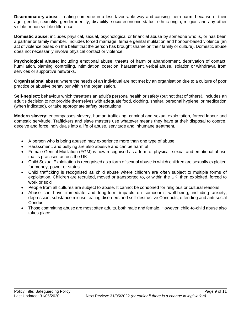**Discriminatory abuse**: treating someone in a less favourable way and causing them harm, because of their age, gender, sexuality, gender identity, disability, socio-economic status, ethnic origin, religion and any other visible or non-visible difference.

**Domestic abuse**: includes physical, sexual, psychological or financial abuse by someone who is, or has been a partner or family member. Includes forced marriage, female genital mutilation and honour-based violence (an act of violence based on the belief that the person has brought shame on their family or culture). Domestic abuse does not necessarily involve physical contact or violence.

**Psychological abuse:** including emotional abuse, threats of harm or abandonment, deprivation of contact, humiliation, blaming, controlling, intimidation, coercion, harassment, verbal abuse, isolation or withdrawal from services or supportive networks.

**Organisational abuse**: where the needs of an individual are not met by an organisation due to a culture of poor practice or abusive behaviour within the organisation.

**Self-neglect:** behaviour which threatens an adult's personal health or safety (but not that of others). Includes an adult's decision to not provide themselves with adequate food, clothing, shelter, personal hygiene, or medication (when indicated), or take appropriate safety precautions

**Modern slavery**: encompasses slavery, human trafficking, criminal and sexual exploitation, forced labour and domestic servitude. Traffickers and slave masters use whatever means they have at their disposal to coerce, deceive and force individuals into a life of abuse, servitude and inhumane treatment.

- A person who is being abused may experience more than one type of abuse
- Harassment, and bullying are also abusive and can be harmful
- Female Genital Mutilation (FGM) is now recognised as a form of physical, sexual and emotional abuse that is practised across the UK
- Child Sexual Exploitation is recognised as a form of sexual abuse in which children are sexually exploited for money, power or status
- Child trafficking is recognised as child abuse where children are often subject to multiple forms of exploitation. Children are recruited, moved or transported to, or within the UK, then exploited, forced to work or sold
- People from all cultures are subject to abuse. It cannot be condoned for religious or cultural reasons
- Abuse can have immediate and long-term impacts on someone's well-being, including anxiety, depression, substance misuse, eating disorders and self-destructive Conducts, offending and anti-social **Conduct**
- Those committing abuse are most often adults, both male and female. However, child-to-child abuse also takes place.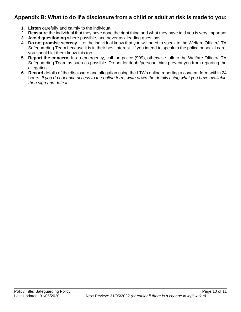## **Appendix B: What to do if a disclosure from a child or adult at risk is made to you:**

- 1. **Listen** carefully and calmly to the individual
- 2. **Reassure** the individual that they have done the right thing and what they have told you is very important
- 3. **Avoid questioning** where possible, and never ask leading questions
- 4. **Do not promise secrecy**. Let the individual know that you will need to speak to the Welfare Officer/LTA Safeguarding Team because it is in their best interest. If you intend to speak to the police or social care, you should let them know this too.
- 5. **Report the concern.** In an emergency, call the police (999), otherwise talk to the Welfare Officer/LTA Safeguarding Team as soon as possible. Do not let doubt/personal bias prevent you from reporting the allegation
- **6. Record** details of the disclosure and allegation using the LTA's online reporting a concern form within 24 hours*. If you do not have access to the online form, write down the details using what you have available then sign and date it.*